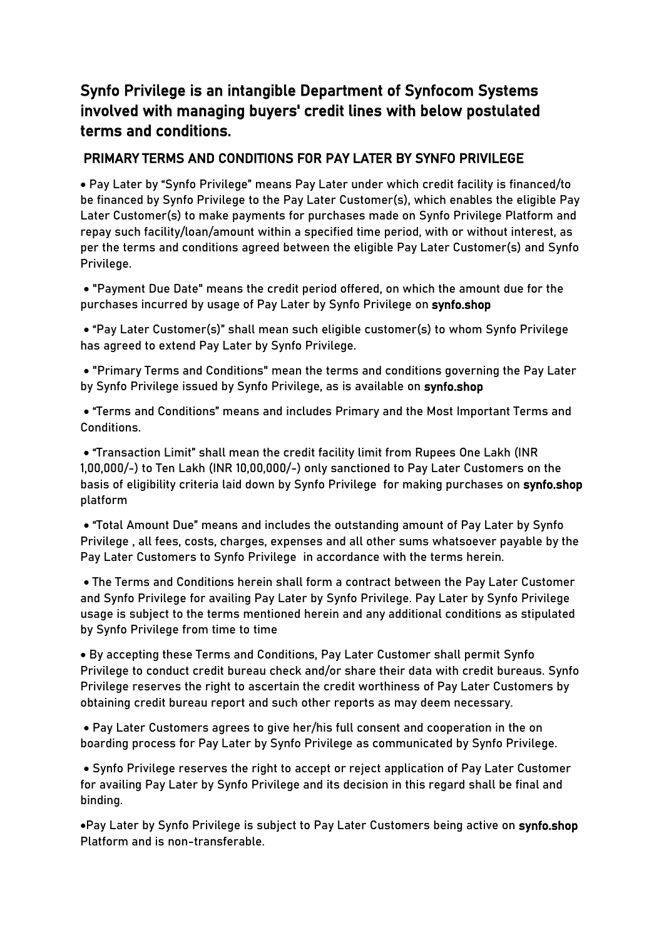## Synfo Privilege is an intangible Department of Synfocom Systems involved with managing buyers' credit lines with below postulated terms and conditions.

## PRIMARY TERMS AND CONDITIONS FOR PAY LATER BY SYNFO PRIVILEGE

 Pay Later by "Synfo Privilege" means Pay Later under which credit facility is financed/to be financed by Synfo Privilege to the Pay Later Customer(s), which enables the eligible Pay Later Customer(s) to make payments for purchases made on Synfo Privilege Platform and repay such facility/loan/amount within a specified time period, with or without interest, as per the terms and conditions agreed between the eligible Pay Later Customer(s) and Synfo Privilege.

 "Payment Due Date" means the credit period offered, on which the amount due for the purchases incurred by usage of Pay Later by Synfo Privilege on synfo.shop

 "Pay Later Customer(s)" shall mean such eligible customer(s) to whom Synfo Privilege has agreed to extend Pay Later by Synfo Privilege.

 "Primary Terms and Conditions" mean the terms and conditions governing the Pay Later by Synfo Privilege issued by Synfo Privilege, as is available on synfo.shop

 "Terms and Conditions" means and includes Primary and the Most Important Terms and Conditions.

 "Transaction Limit" shall mean the credit facility limit from Rupees One Lakh (INR 1,00,000/-) to Ten Lakh (INR 10,00,000/-) only sanctioned to Pay Later Customers on the basis of eligibility criteria laid down by Synfo Privilege for making purchases on synfo.shop platform

 "Total Amount Due" means and includes the outstanding amount of Pay Later by Synfo Privilege , all fees, costs, charges, expenses and all other sums whatsoever payable by the Pay Later Customers to Synfo Privilege in accordance with the terms herein.

 The Terms and Conditions herein shall form a contract between the Pay Later Customer and Synfo Privilege for availing Pay Later by Synfo Privilege. Pay Later by Synfo Privilege usage is subject to the terms mentioned herein and any additional conditions as stipulated by Synfo Privilege from time to time

 By accepting these Terms and Conditions, Pay Later Customer shall permit Synfo Privilege to conduct credit bureau check and/or share their data with credit bureaus. Synfo Privilege reserves the right to ascertain the credit worthiness of Pay Later Customers by obtaining credit bureau report and such other reports as may deem necessary.

 Pay Later Customers agrees to give her/his full consent and cooperation in the on boarding process for Pay Later by Synfo Privilege as communicated by Synfo Privilege.

 Synfo Privilege reserves the right to accept or reject application of Pay Later Customer for availing Pay Later by Synfo Privilege and its decision in this regard shall be final and binding.

Pay Later by Synfo Privilege is subject to Pay Later Customers being active on synfo.shop Platform and is non-transferable.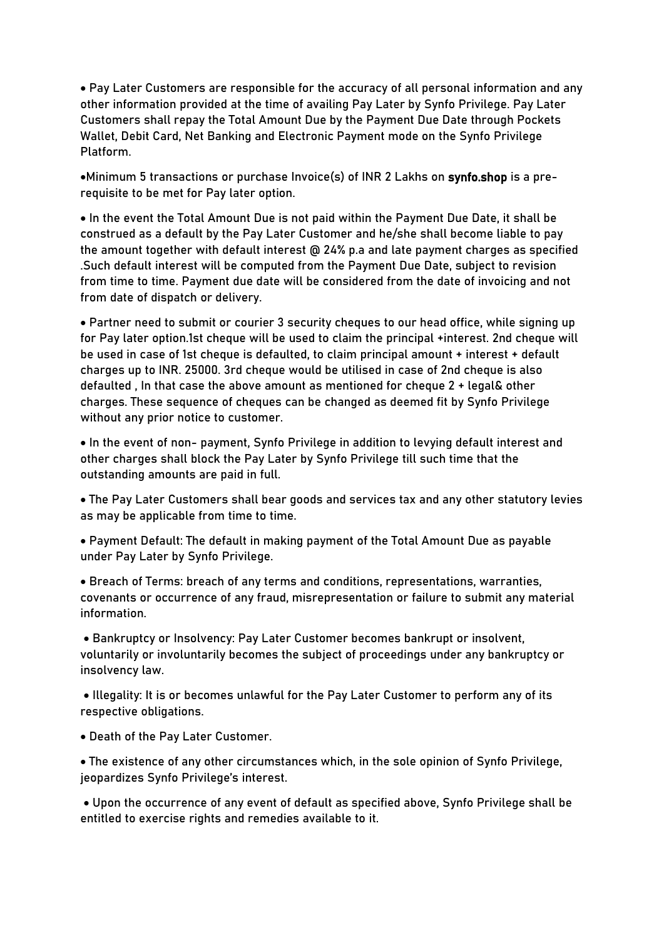Pay Later Customers are responsible for the accuracy of all personal information and any other information provided at the time of availing Pay Later by Synfo Privilege. Pay Later Customers shall repay the Total Amount Due by the Payment Due Date through Pockets Wallet, Debit Card, Net Banking and Electronic Payment mode on the Synfo Privilege Platform.

Minimum 5 transactions or purchase Invoice(s) of INR 2 Lakhs on synfo.shop is a prerequisite to be met for Pay later option.

 In the event the Total Amount Due is not paid within the Payment Due Date, it shall be construed as a default by the Pay Later Customer and he/she shall become liable to pay the amount together with default interest @ 24% p.a and late payment charges as specified .Such default interest will be computed from the Payment Due Date, subject to revision from time to time. Payment due date will be considered from the date of invoicing and not from date of dispatch or delivery.

 Partner need to submit or courier 3 security cheques to our head office, while signing up for Pay later option.1st cheque will be used to claim the principal +interest. 2nd cheque will be used in case of 1st cheque is defaulted, to claim principal amount + interest + default charges up to INR. 25000. 3rd cheque would be utilised in case of 2nd cheque is also defaulted , In that case the above amount as mentioned for cheque 2 + legal& other charges. These sequence of cheques can be changed as deemed fit by Synfo Privilege without any prior notice to customer.

 In the event of non- payment, Synfo Privilege in addition to levying default interest and other charges shall block the Pay Later by Synfo Privilege till such time that the outstanding amounts are paid in full.

 The Pay Later Customers shall bear goods and services tax and any other statutory levies as may be applicable from time to time.

 Payment Default: The default in making payment of the Total Amount Due as payable under Pay Later by Synfo Privilege.

 Breach of Terms: breach of any terms and conditions, representations, warranties, covenants or occurrence of any fraud, misrepresentation or failure to submit any material information.

 Bankruptcy or Insolvency: Pay Later Customer becomes bankrupt or insolvent, voluntarily or involuntarily becomes the subject of proceedings under any bankruptcy or insolvency law.

 Illegality: It is or becomes unlawful for the Pay Later Customer to perform any of its respective obligations.

Death of the Pay Later Customer.

 The existence of any other circumstances which, in the sole opinion of Synfo Privilege, jeopardizes Synfo Privilege's interest.

 Upon the occurrence of any event of default as specified above, Synfo Privilege shall be entitled to exercise rights and remedies available to it.